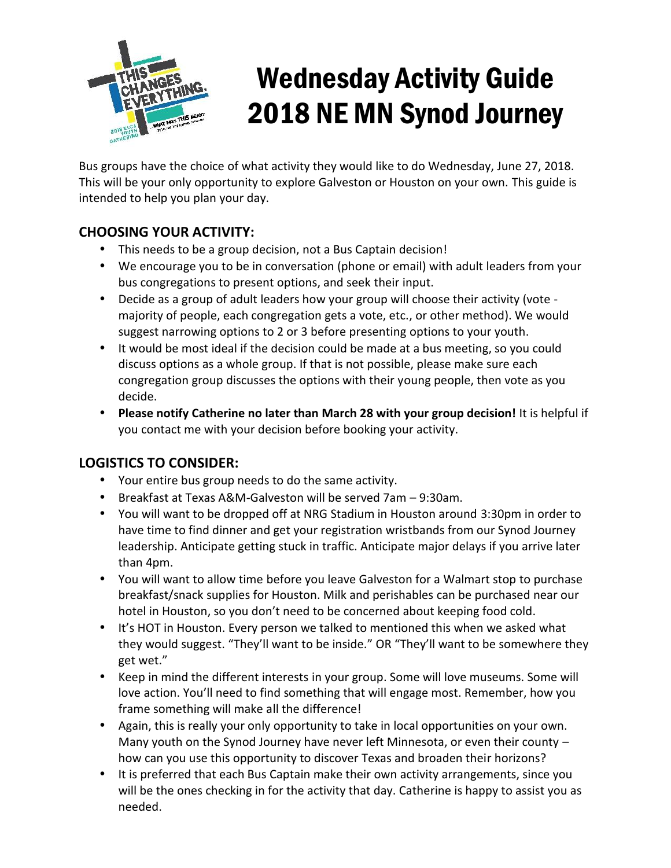

# Wednesday Activity Guide 2018 NE MN Synod Journey

Bus groups have the choice of what activity they would like to do Wednesday, June 27, 2018. This will be your only opportunity to explore Galveston or Houston on your own. This guide is intended to help you plan your day.

## **CHOOSING YOUR ACTIVITY:**

- This needs to be a group decision, not a Bus Captain decision!
- We encourage you to be in conversation (phone or email) with adult leaders from your bus congregations to present options, and seek their input.
- Decide as a group of adult leaders how your group will choose their activity (vote majority of people, each congregation gets a vote, etc., or other method). We would suggest narrowing options to 2 or 3 before presenting options to your youth.
- It would be most ideal if the decision could be made at a bus meeting, so you could discuss options as a whole group. If that is not possible, please make sure each congregation group discusses the options with their young people, then vote as you decide.
- **Please notify Catherine no later than March 28 with your group decision!** It is helpful if you contact me with your decision before booking your activity.

## **LOGISTICS TO CONSIDER:**

- Your entire bus group needs to do the same activity.
- Breakfast at Texas A&M-Galveston will be served 7am 9:30am.
- You will want to be dropped off at NRG Stadium in Houston around 3:30pm in order to have time to find dinner and get your registration wristbands from our Synod Journey leadership. Anticipate getting stuck in traffic. Anticipate major delays if you arrive later than 4pm.
- You will want to allow time before you leave Galveston for a Walmart stop to purchase breakfast/snack supplies for Houston. Milk and perishables can be purchased near our hotel in Houston, so you don't need to be concerned about keeping food cold.
- It's HOT in Houston. Every person we talked to mentioned this when we asked what they would suggest. "They'll want to be inside." OR "They'll want to be somewhere they get wet."
- Keep in mind the different interests in your group. Some will love museums. Some will love action. You'll need to find something that will engage most. Remember, how you frame something will make all the difference!
- Again, this is really your only opportunity to take in local opportunities on your own. Many youth on the Synod Journey have never left Minnesota, or even their county – how can you use this opportunity to discover Texas and broaden their horizons?
- It is preferred that each Bus Captain make their own activity arrangements, since you will be the ones checking in for the activity that day. Catherine is happy to assist you as needed.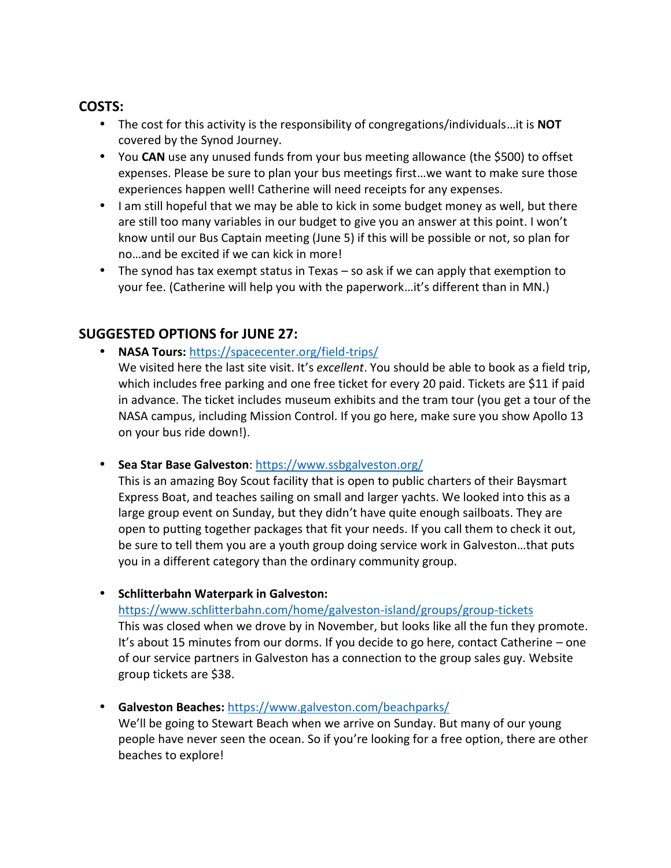### **COSTS:**

- The cost for this activity is the responsibility of congregations/individuals…it is **NOT** covered by the Synod Journey.
- You **CAN** use any unused funds from your bus meeting allowance (the \$500) to offset expenses. Please be sure to plan your bus meetings first…we want to make sure those experiences happen well! Catherine will need receipts for any expenses.
- I am still hopeful that we may be able to kick in some budget money as well, but there are still too many variables in our budget to give you an answer at this point. I won't know until our Bus Captain meeting (June 5) if this will be possible or not, so plan for no…and be excited if we can kick in more!
- The synod has tax exempt status in Texas so ask if we can apply that exemption to your fee. (Catherine will help you with the paperwork…it's different than in MN.)

### **SUGGESTED OPTIONS for JUNE 27:**

**NASA Tours:** https://spacecenter.org/field-trips/

We visited here the last site visit. It's *excellent*. You should be able to book as a field trip, which includes free parking and one free ticket for every 20 paid. Tickets are \$11 if paid in advance. The ticket includes museum exhibits and the tram tour (you get a tour of the NASA campus, including Mission Control. If you go here, make sure you show Apollo 13 on your bus ride down!).

**Sea Star Base Galveston**: https://www.ssbgalveston.org/

This is an amazing Boy Scout facility that is open to public charters of their Baysmart Express Boat, and teaches sailing on small and larger yachts. We looked into this as a large group event on Sunday, but they didn't have quite enough sailboats. They are open to putting together packages that fit your needs. If you call them to check it out, be sure to tell them you are a youth group doing service work in Galveston…that puts you in a different category than the ordinary community group.

**Schlitterbahn Waterpark in Galveston:**

https://www.schlitterbahn.com/home/galveston-island/groups/group-tickets

This was closed when we drove by in November, but looks like all the fun they promote. It's about 15 minutes from our dorms. If you decide to go here, contact Catherine – one of our service partners in Galveston has a connection to the group sales guy. Website group tickets are \$38.

**Galveston Beaches:** https://www.galveston.com/beachparks/

We'll be going to Stewart Beach when we arrive on Sunday. But many of our young people have never seen the ocean. So if you're looking for a free option, there are other beaches to explore!